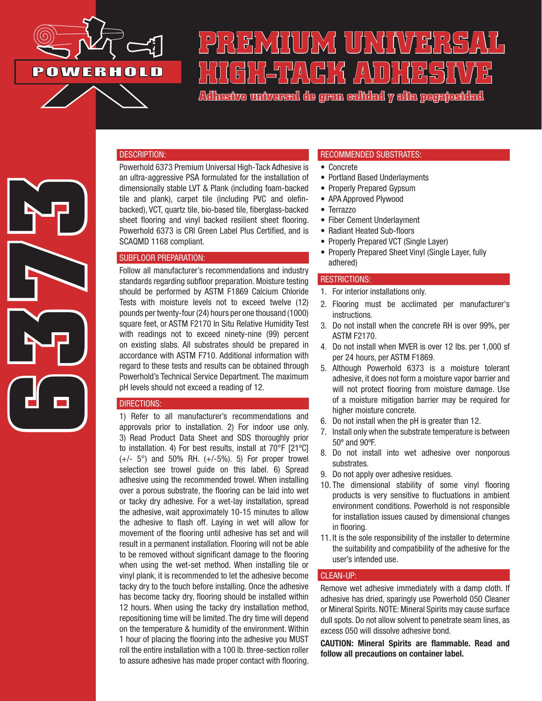

# **PREMIUS SERVAL** (6) HGJVA(H) *K* /AVO) H

**Adhesivo universal de gran calidad y alta pegajosidad**

#### DESCRIPTION:

Powerhold 6373 Premium Universal High-Tack Adhesive is an ultra-aggressive PSA formulated for the installation of dimensionally stable LVT & Plank (including foam-backed tile and plank), carpet tile (including PVC and olefinbacked), VCT, quartz tile, bio-based tile, fiberglass-backed sheet flooring and vinyl backed resilient sheet flooring. Powerhold 6373 is CRI Green Label Plus Certified, and is SCAQMD 1168 compliant.

### SUBFLOOR PREPARATION:

Follow all manufacturer's recommendations and industry standards regarding subfloor preparation. Moisture testing should be performed by ASTM F1869 Calcium Chloride Tests with moisture levels not to exceed twelve (12) pounds per twenty-four (24) hours per one thousand (1000) square feet, or ASTM F2170 In Situ Relative Humidity Test with readings not to exceed ninety-nine (99) percent on existing slabs. All substrates should be prepared in accordance with ASTM F710. Additional information with regard to these tests and results can be obtained through Powerhold's Technical Service Department. The maximum pH levels should not exceed a reading of 12.

#### DIRECTIONS:

1) Refer to all manufacturer's recommendations and approvals prior to installation. 2) For indoor use only. 3) Read Product Data Sheet and SDS thoroughly prior to installation. 4) For best results, install at 70°F [21ºC]  $(+/- 5^{\circ})$  and 50% RH.  $(+/-5^{\circ})$ . 5) For proper trowel selection see trowel guide on this label. 6) Spread adhesive using the recommended trowel. When installing over a porous substrate, the flooring can be laid into wet or tacky dry adhesive. For a wet-lay installation, spread the adhesive, wait approximately 10-15 minutes to allow the adhesive to flash off. Laying in wet will allow for movement of the flooring until adhesive has set and will result in a permanent installation. Flooring will not be able to be removed without significant damage to the flooring when using the wet-set method. When installing tile or vinyl plank, it is recommended to let the adhesive become tacky dry to the touch before installing. Once the adhesive has become tacky dry, flooring should be installed within 12 hours. When using the tacky dry installation method, repositioning time will be limited. The dry time will depend on the temperature & humidity of the environment. Within 1 hour of placing the flooring into the adhesive you MUST roll the entire installation with a 100 lb. three-section roller to assure adhesive has made proper contact with flooring.

#### RECOMMENDED SUBSTRATES:

- Concrete
- Portland Based Underlayments
- Properly Prepared Gypsum
- APA Approved Plywood
- Terrazzo
- Fiber Cement Underlayment
- Radiant Heated Sub-floors
- Properly Prepared VCT (Single Layer)
- Properly Prepared Sheet Vinyl (Single Layer, fully adhered)

#### RESTRICTIONS:

- 1. For interior installations only.
- 2. Flooring must be acclimated per manufacturer's instructions.
- 3. Do not install when the concrete RH is over 99%, per ASTM F2170.
- 4. Do not install when MVER is over 12 lbs. per 1,000 sf per 24 hours, per ASTM F1869.
- 5. Although Powerhold 6373 is a moisture tolerant adhesive, it does not form a moisture vapor barrier and will not protect flooring from moisture damage. Use of a moisture mitigation barrier may be required for higher moisture concrete.
- 6. Do not install when the pH is greater than 12.
- 7. Install only when the substrate temperature is between 50º and 90ºF.
- 8. Do not install into wet adhesive over nonporous substrates.
- 9. Do not apply over adhesive residues.
- 10. The dimensional stability of some vinyl flooring products is very sensitive to fluctuations in ambient environment conditions. Powerhold is not responsible for installation issues caused by dimensional changes in flooring.
- 11. It is the sole responsibility of the installer to determine the suitability and compatibility of the adhesive for the user's intended use.

#### CLEAN-UP:

Remove wet adhesive immediately with a damp cloth. If adhesive has dried, sparingly use Powerhold 050 Cleaner or Mineral Spirits. NOTE: Mineral Spirits may cause surface dull spots. Do not allow solvent to penetrate seam lines, as excess 050 will dissolve adhesive bond.

CAUTION: Mineral Spirits are flammable. Read and follow all precautions on container label.